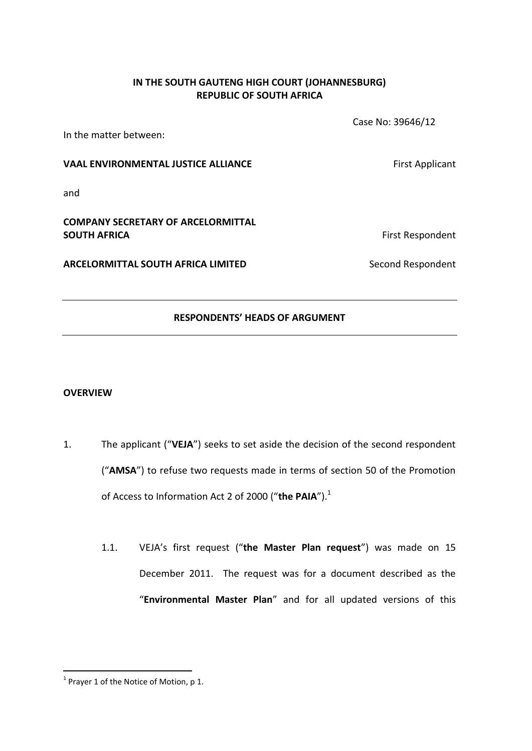### **IN THE SOUTH GAUTENG HIGH COURT (JOHANNESBURG) REPUBLIC OF SOUTH AFRICA**

In the matter between:

Case No: 39646/12

#### **VAAL ENVIRONMENTAL JUSTICE ALLIANCE EXAMPLE ALLIANCE First Applicant**

and

## **COMPANY SECRETARY OF ARCELORMITTAL SOUTH AFRICA** First Respondent

**ARCELORMITTAL SOUTH AFRICA LIMITED** Second Respondent

### **RESPONDENTS' HEADS OF ARGUMENT**

### **OVERVIEW**

- 1. The applicant ("**VEJA**") seeks to set aside the decision of the second respondent ("**AMSA**") to refuse two requests made in terms of section 50 of the Promotion of Access to Information Act 2 of 2000 ("the PAIA").<sup>1</sup>
	- 1.1. VEJA's first request ("**the Master Plan request**") was made on 15 December 2011. The request was for a document described as the "**Environmental Master Plan**" and for all updated versions of this

 $\overline{a}$  $1$  Prayer 1 of the Notice of Motion, p 1.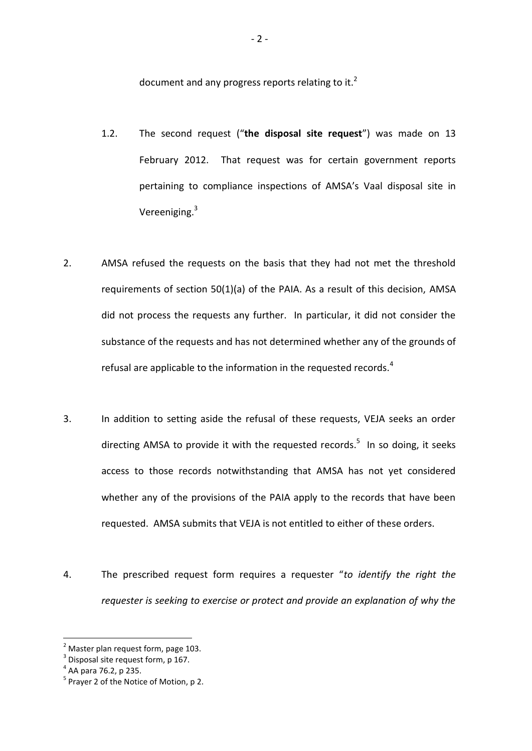document and any progress reports relating to it. $<sup>2</sup>$ </sup>

- 1.2. The second request ("**the disposal site request**") was made on 13 February 2012. That request was for certain government reports pertaining to compliance inspections of AMSA's Vaal disposal site in Vereeniging.<sup>3</sup>
- 2. AMSA refused the requests on the basis that they had not met the threshold requirements of section 50(1)(a) of the PAIA. As a result of this decision, AMSA did not process the requests any further. In particular, it did not consider the substance of the requests and has not determined whether any of the grounds of refusal are applicable to the information in the requested records.<sup>4</sup>
- 3. In addition to setting aside the refusal of these requests, VEJA seeks an order directing AMSA to provide it with the requested records.<sup>5</sup> In so doing, it seeks access to those records notwithstanding that AMSA has not yet considered whether any of the provisions of the PAIA apply to the records that have been requested. AMSA submits that VEJA is not entitled to either of these orders.
- 4. The prescribed request form requires a requester "*to identify the right the requester is seeking to exercise or protect and provide an explanation of why the*

 $<sup>2</sup>$  Master plan request form, page 103.</sup>

 $3$  Disposal site request form, p 167.

<sup>4</sup> AA para 76.2, p 235.

<sup>&</sup>lt;sup>5</sup> Prayer 2 of the Notice of Motion, p 2.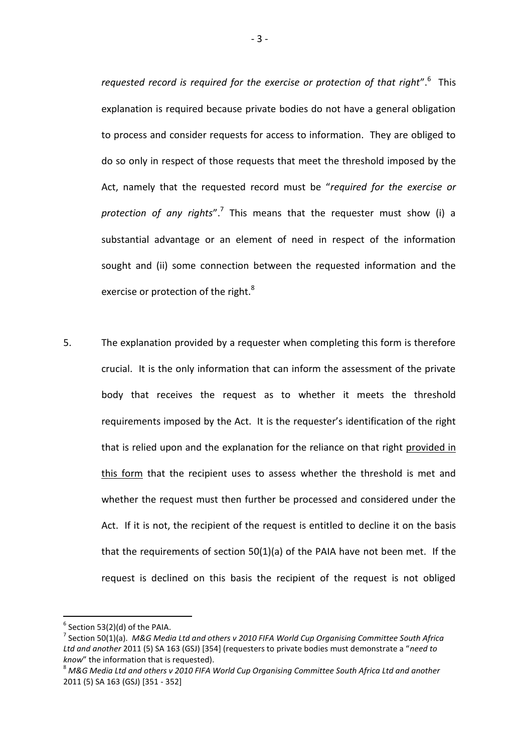*requested record is required for the exercise or protection of that right*".<sup>6</sup> This explanation is required because private bodies do not have a general obligation to process and consider requests for access to information. They are obliged to do so only in respect of those requests that meet the threshold imposed by the Act, namely that the requested record must be "*required for the exercise or*  protection of any rights".<sup>7</sup> This means that the requester must show (i) a substantial advantage or an element of need in respect of the information sought and (ii) some connection between the requested information and the exercise or protection of the right.<sup>8</sup>

5. The explanation provided by a requester when completing this form is therefore crucial. It is the only information that can inform the assessment of the private body that receives the request as to whether it meets the threshold requirements imposed by the Act. It is the requester's identification of the right that is relied upon and the explanation for the reliance on that right provided in this form that the recipient uses to assess whether the threshold is met and whether the request must then further be processed and considered under the Act. If it is not, the recipient of the request is entitled to decline it on the basis that the requirements of section 50(1)(a) of the PAIA have not been met. If the request is declined on this basis the recipient of the request is not obliged

 $^6$  Section 53(2)(d) of the PAIA.

<sup>7</sup> Section 50(1)(a). *M&G Media Ltd and others v 2010 FIFA World Cup Organising Committee South Africa Ltd and another* 2011 (5) SA 163 (GSJ) [354] (requesters to private bodies must demonstrate a "*need to know*" the information that is requested).

<sup>8</sup> *M&G Media Ltd and others v 2010 FIFA World Cup Organising Committee South Africa Ltd and another* 2011 (5) SA 163 (GSJ) [351 - 352]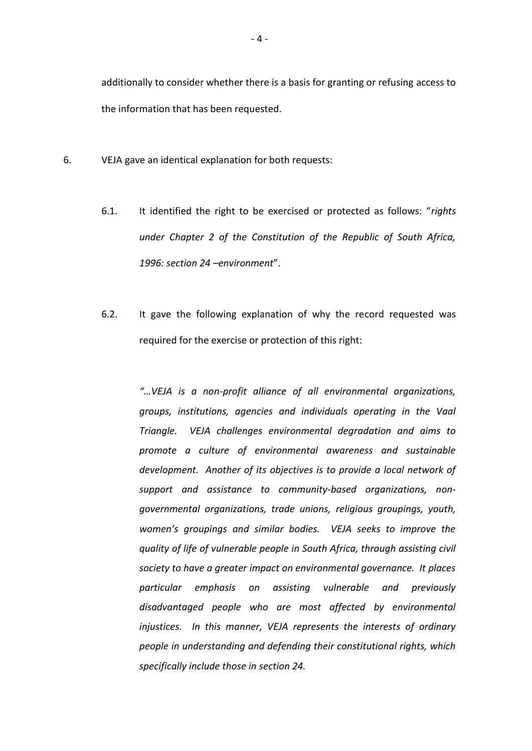additionally to consider whether there is a basis for granting or refusing access to the information that has been requested.

- 6. VEJA gave an identical explanation for both requests:
	- 6.1. It identified the right to be exercised or protected as follows: "*rights under Chapter 2 of the Constitution of the Republic of South Africa, 1996: section 24 –environment*".
	- 6.2. It gave the following explanation of why the record requested was required for the exercise or protection of this right:

*"…VEJA is a non-profit alliance of all environmental organizations, groups, institutions, agencies and individuals operating in the Vaal Triangle. VEJA challenges environmental degradation and aims to promote a culture of environmental awareness and sustainable development. Another of its objectives is to provide a local network of support and assistance to community-based organizations, nongovernmental organizations, trade unions, religious groupings, youth, women's groupings and similar bodies. VEJA seeks to improve the quality of life of vulnerable people in South Africa, through assisting civil society to have a greater impact on environmental governance. It places particular emphasis on assisting vulnerable and previously disadvantaged people who are most affected by environmental injustices. In this manner, VEJA represents the interests of ordinary people in understanding and defending their constitutional rights, which specifically include those in section 24.*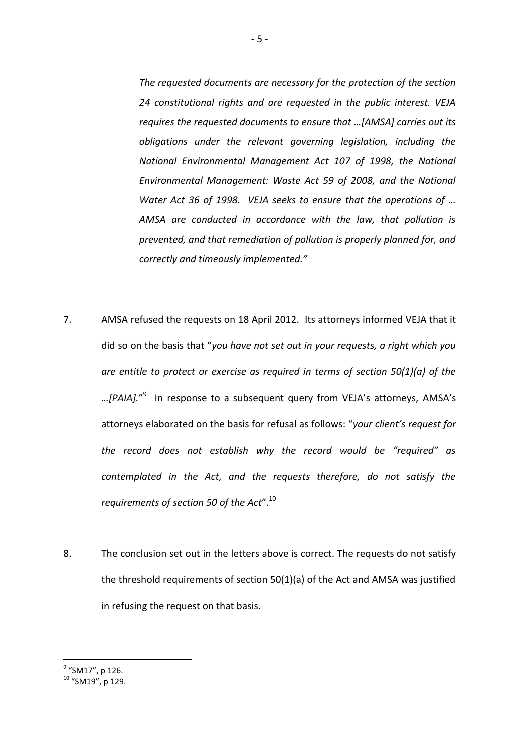*The requested documents are necessary for the protection of the section 24 constitutional rights and are requested in the public interest. VEJA requires the requested documents to ensure that …[AMSA] carries out its obligations under the relevant governing legislation, including the National Environmental Management Act 107 of 1998, the National Environmental Management: Waste Act 59 of 2008, and the National Water Act 36 of 1998. VEJA seeks to ensure that the operations of … AMSA are conducted in accordance with the law, that pollution is prevented, and that remediation of pollution is properly planned for, and correctly and timeously implemented."*

- 7. AMSA refused the requests on 18 April 2012. Its attorneys informed VEJA that it did so on the basis that "*you have not set out in your requests, a right which you are entitle to protect or exercise as required in terms of section 50(1)(a) of the …[PAIA].*" 9 In response to a subsequent query from VEJA's attorneys, AMSA's attorneys elaborated on the basis for refusal as follows: "*your client's request for the record does not establish why the record would be "required" as contemplated in the Act, and the requests therefore, do not satisfy the requirements of section 50 of the Act*".<sup>10</sup>
- 8. The conclusion set out in the letters above is correct. The requests do not satisfy the threshold requirements of section 50(1)(a) of the Act and AMSA was justified in refusing the request on that basis.

<sup>&</sup>lt;sup>9</sup> "SM17", p 126.

<sup>&</sup>lt;sup>10</sup> "SM19", p 129.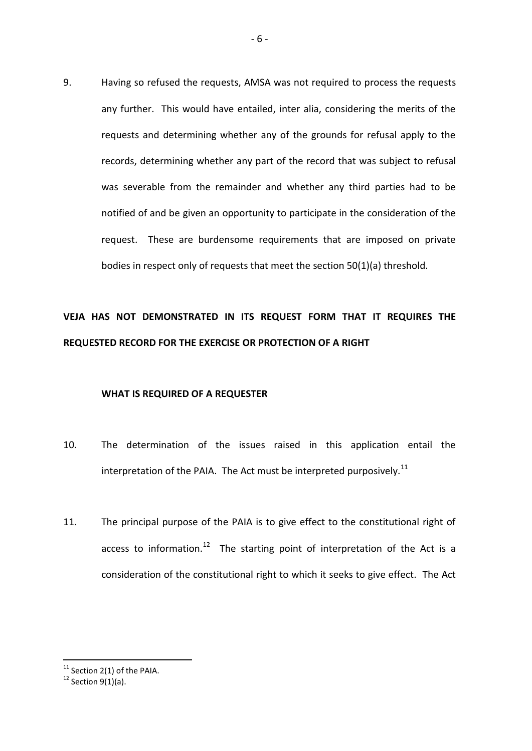9. Having so refused the requests, AMSA was not required to process the requests any further. This would have entailed, inter alia, considering the merits of the requests and determining whether any of the grounds for refusal apply to the records, determining whether any part of the record that was subject to refusal was severable from the remainder and whether any third parties had to be notified of and be given an opportunity to participate in the consideration of the request. These are burdensome requirements that are imposed on private bodies in respect only of requests that meet the section 50(1)(a) threshold.

# **VEJA HAS NOT DEMONSTRATED IN ITS REQUEST FORM THAT IT REQUIRES THE REQUESTED RECORD FOR THE EXERCISE OR PROTECTION OF A RIGHT**

#### **WHAT IS REQUIRED OF A REQUESTER**

- 10. The determination of the issues raised in this application entail the interpretation of the PAIA. The Act must be interpreted purposively.<sup>11</sup>
- 11. The principal purpose of the PAIA is to give effect to the constitutional right of access to information.<sup>12</sup> The starting point of interpretation of the Act is a consideration of the constitutional right to which it seeks to give effect. The Act

 $11$  Section 2(1) of the PAIA.

 $12$  Section 9(1)(a).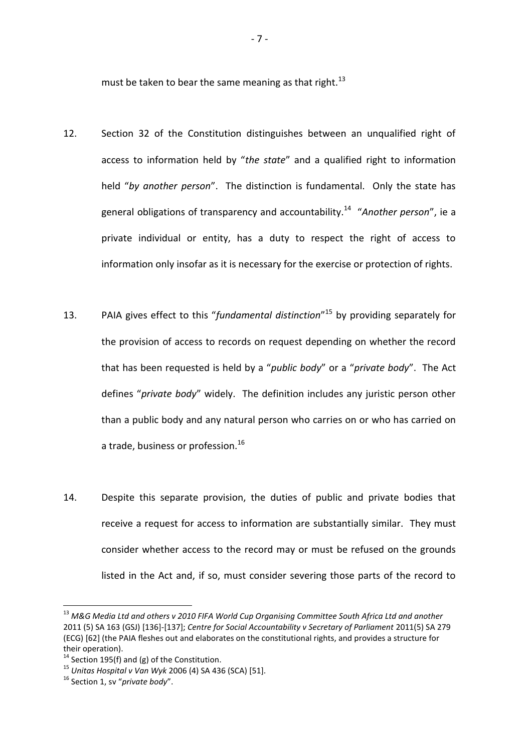must be taken to bear the same meaning as that right.<sup>13</sup>

- 12. Section 32 of the Constitution distinguishes between an unqualified right of access to information held by "*the state*" and a qualified right to information held "*by another person*". The distinction is fundamental. Only the state has general obligations of transparency and accountability.<sup>14</sup> "*Another person*", ie a private individual or entity, has a duty to respect the right of access to information only insofar as it is necessary for the exercise or protection of rights.
- 13. PAIA gives effect to this "*fundamental distinction*" <sup>15</sup> by providing separately for the provision of access to records on request depending on whether the record that has been requested is held by a "*public body*" or a "*private body*". The Act defines "*private body*" widely. The definition includes any juristic person other than a public body and any natural person who carries on or who has carried on a trade, business or profession.<sup>16</sup>
- 14. Despite this separate provision, the duties of public and private bodies that receive a request for access to information are substantially similar. They must consider whether access to the record may or must be refused on the grounds listed in the Act and, if so, must consider severing those parts of the record to

<sup>13</sup> *M&G Media Ltd and others v 2010 FIFA World Cup Organising Committee South Africa Ltd and another* 2011 (5) SA 163 (GSJ) [136]-[137]; *Centre for Social Accountability v Secretary of Parliament* 2011(5) SA 279 (ECG) [62] (the PAIA fleshes out and elaborates on the constitutional rights, and provides a structure for their operation).

<sup>&</sup>lt;sup>14</sup> Section 195(f) and (g) of the Constitution.

<sup>15</sup> *Unitas Hospital v Van Wyk* 2006 (4) SA 436 (SCA) [51].

<sup>16</sup> Section 1, sv "*private body*".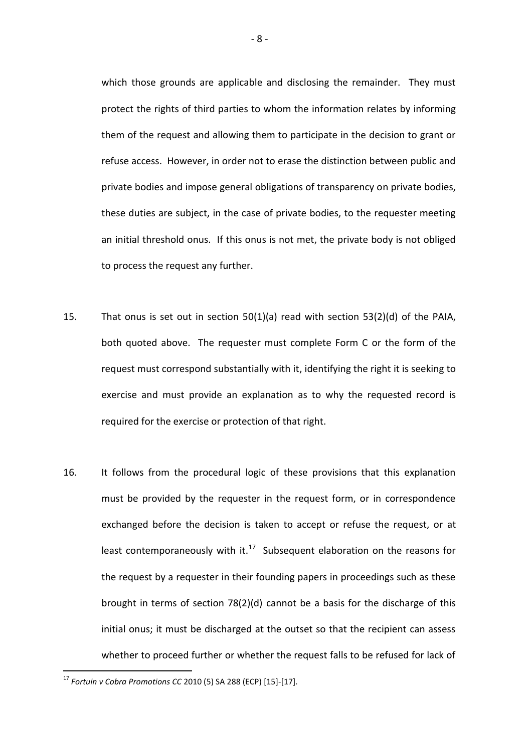which those grounds are applicable and disclosing the remainder. They must protect the rights of third parties to whom the information relates by informing them of the request and allowing them to participate in the decision to grant or refuse access. However, in order not to erase the distinction between public and private bodies and impose general obligations of transparency on private bodies, these duties are subject, in the case of private bodies, to the requester meeting an initial threshold onus. If this onus is not met, the private body is not obliged to process the request any further.

- 15. That onus is set out in section 50(1)(a) read with section 53(2)(d) of the PAIA, both quoted above. The requester must complete Form C or the form of the request must correspond substantially with it, identifying the right it is seeking to exercise and must provide an explanation as to why the requested record is required for the exercise or protection of that right.
- 16. It follows from the procedural logic of these provisions that this explanation must be provided by the requester in the request form, or in correspondence exchanged before the decision is taken to accept or refuse the request, or at least contemporaneously with it. $17$  Subsequent elaboration on the reasons for the request by a requester in their founding papers in proceedings such as these brought in terms of section 78(2)(d) cannot be a basis for the discharge of this initial onus; it must be discharged at the outset so that the recipient can assess whether to proceed further or whether the request falls to be refused for lack of

<sup>17</sup> *Fortuin v Cobra Promotions CC* 2010 (5) SA 288 (ECP) [15]-[17].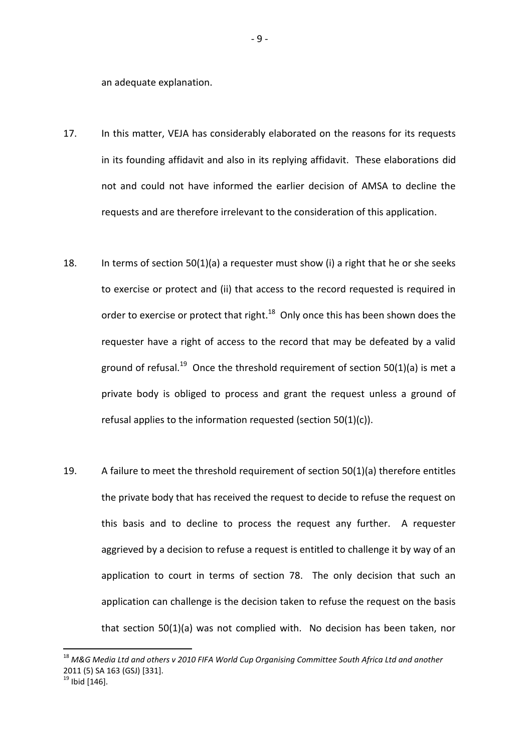an adequate explanation.

- 17. In this matter, VEJA has considerably elaborated on the reasons for its requests in its founding affidavit and also in its replying affidavit. These elaborations did not and could not have informed the earlier decision of AMSA to decline the requests and are therefore irrelevant to the consideration of this application.
- 18. In terms of section 50(1)(a) a requester must show (i) a right that he or she seeks to exercise or protect and (ii) that access to the record requested is required in order to exercise or protect that right.<sup>18</sup> Only once this has been shown does the requester have a right of access to the record that may be defeated by a valid ground of refusal.<sup>19</sup> Once the threshold requirement of section 50(1)(a) is met a private body is obliged to process and grant the request unless a ground of refusal applies to the information requested (section 50(1)(c)).
- 19. A failure to meet the threshold requirement of section 50(1)(a) therefore entitles the private body that has received the request to decide to refuse the request on this basis and to decline to process the request any further. A requester aggrieved by a decision to refuse a request is entitled to challenge it by way of an application to court in terms of section 78. The only decision that such an application can challenge is the decision taken to refuse the request on the basis that section 50(1)(a) was not complied with. No decision has been taken, nor

<sup>18</sup> *M&G Media Ltd and others v 2010 FIFA World Cup Organising Committee South Africa Ltd and another* 2011 (5) SA 163 (GSJ) [331].

 $19$  Ibid [146].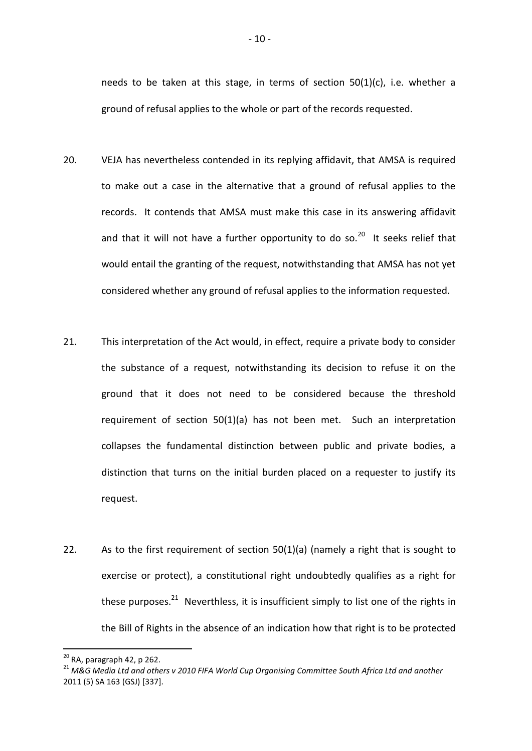needs to be taken at this stage, in terms of section 50(1)(c), i.e. whether a ground of refusal applies to the whole or part of the records requested.

- 20. VEJA has nevertheless contended in its replying affidavit, that AMSA is required to make out a case in the alternative that a ground of refusal applies to the records. It contends that AMSA must make this case in its answering affidavit and that it will not have a further opportunity to do so.<sup>20</sup> It seeks relief that would entail the granting of the request, notwithstanding that AMSA has not yet considered whether any ground of refusal applies to the information requested.
- 21. This interpretation of the Act would, in effect, require a private body to consider the substance of a request, notwithstanding its decision to refuse it on the ground that it does not need to be considered because the threshold requirement of section 50(1)(a) has not been met. Such an interpretation collapses the fundamental distinction between public and private bodies, a distinction that turns on the initial burden placed on a requester to justify its request.
- 22. As to the first requirement of section 50(1)(a) (namely a right that is sought to exercise or protect), a constitutional right undoubtedly qualifies as a right for these purposes.<sup>21</sup> Neverthless, it is insufficient simply to list one of the rights in the Bill of Rights in the absence of an indication how that right is to be protected

 $20$  RA, paragraph 42, p 262.

<sup>21</sup> *M&G Media Ltd and others v 2010 FIFA World Cup Organising Committee South Africa Ltd and another* 2011 (5) SA 163 (GSJ) [337].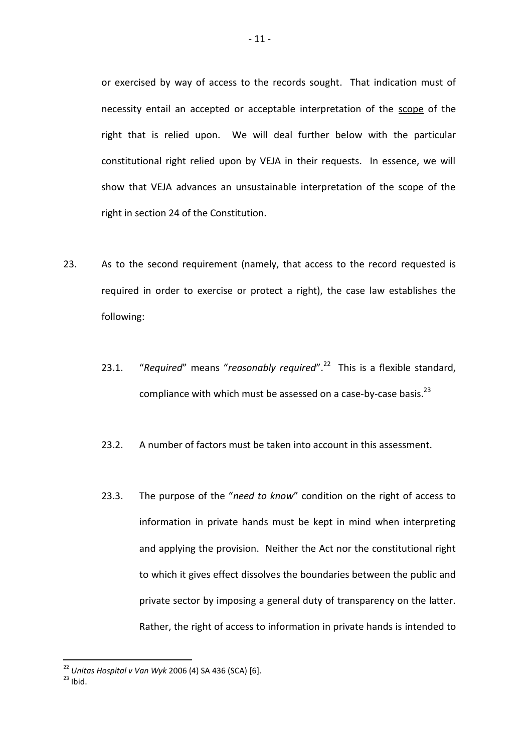or exercised by way of access to the records sought. That indication must of necessity entail an accepted or acceptable interpretation of the scope of the right that is relied upon. We will deal further below with the particular constitutional right relied upon by VEJA in their requests. In essence, we will show that VEJA advances an unsustainable interpretation of the scope of the right in section 24 of the Constitution.

- 23. As to the second requirement (namely, that access to the record requested is required in order to exercise or protect a right), the case law establishes the following:
	- 23.1. "Required" means "reasonably required".<sup>22</sup> This is a flexible standard, compliance with which must be assessed on a case-by-case basis. $^{23}$
	- 23.2. A number of factors must be taken into account in this assessment.
	- 23.3. The purpose of the "*need to know*" condition on the right of access to information in private hands must be kept in mind when interpreting and applying the provision. Neither the Act nor the constitutional right to which it gives effect dissolves the boundaries between the public and private sector by imposing a general duty of transparency on the latter. Rather, the right of access to information in private hands is intended to

<sup>22</sup> *Unitas Hospital v Van Wyk* 2006 (4) SA 436 (SCA) [6].

 $23$  Ibid.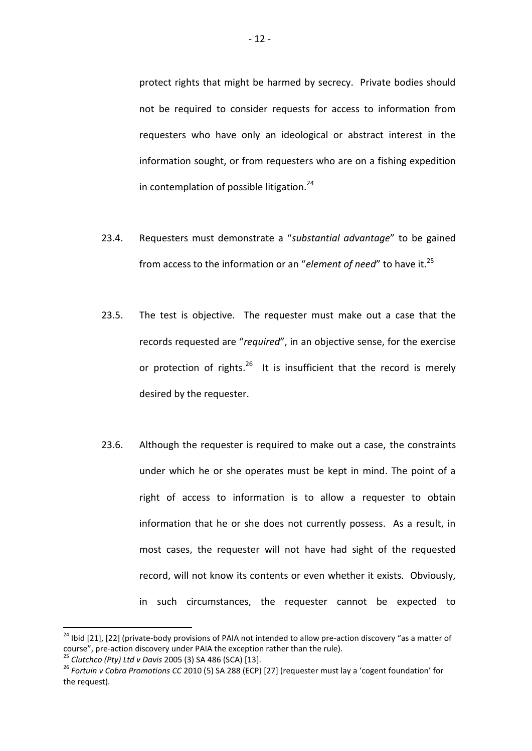protect rights that might be harmed by secrecy. Private bodies should not be required to consider requests for access to information from requesters who have only an ideological or abstract interest in the information sought, or from requesters who are on a fishing expedition in contemplation of possible litigation.<sup>24</sup>

- 23.4. Requesters must demonstrate a "*substantial advantage*" to be gained from access to the information or an "element of need" to have it.<sup>25</sup>
- 23.5. The test is objective. The requester must make out a case that the records requested are "*required*", in an objective sense, for the exercise or protection of rights.<sup>26</sup> It is insufficient that the record is merely desired by the requester.
- 23.6. Although the requester is required to make out a case, the constraints under which he or she operates must be kept in mind. The point of a right of access to information is to allow a requester to obtain information that he or she does not currently possess. As a result, in most cases, the requester will not have had sight of the requested record, will not know its contents or even whether it exists. Obviously, in such circumstances, the requester cannot be expected to

<sup>&</sup>lt;sup>24</sup> Ibid [21], [22] (private-body provisions of PAIA not intended to allow pre-action discovery "as a matter of course", pre-action discovery under PAIA the exception rather than the rule).

<sup>25</sup> *Clutchco (Pty) Ltd v Davis* 2005 (3) SA 486 (SCA) [13].

<sup>26</sup> *Fortuin v Cobra Promotions CC* 2010 (5) SA 288 (ECP) [27] (requester must lay a 'cogent foundation' for the request).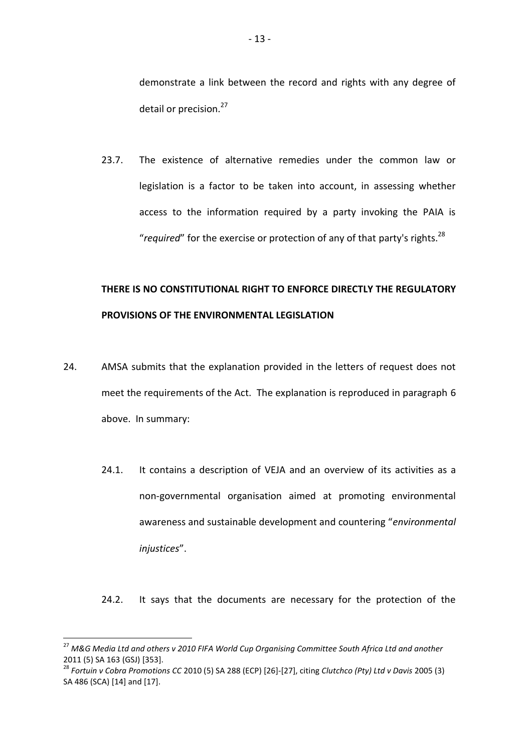demonstrate a link between the record and rights with any degree of detail or precision.<sup>27</sup>

23.7. The existence of alternative remedies under the common law or legislation is a factor to be taken into account, in assessing whether access to the information required by a party invoking the PAIA is "*required*" for the exercise or protection of any of that party's rights.<sup>28</sup>

# **THERE IS NO CONSTITUTIONAL RIGHT TO ENFORCE DIRECTLY THE REGULATORY PROVISIONS OF THE ENVIRONMENTAL LEGISLATION**

- 24. AMSA submits that the explanation provided in the letters of request does not meet the requirements of the Act. The explanation is reproduced in paragraph 6 above. In summary:
	- 24.1. It contains a description of VEJA and an overview of its activities as a non-governmental organisation aimed at promoting environmental awareness and sustainable development and countering "*environmental injustices*".

24.2. It says that the documents are necessary for the protection of the

<sup>27</sup> *M&G Media Ltd and others v 2010 FIFA World Cup Organising Committee South Africa Ltd and another* 2011 (5) SA 163 (GSJ) [353].

<sup>28</sup> *Fortuin v Cobra Promotions CC* 2010 (5) SA 288 (ECP) [26]-[27], citing *Clutchco (Pty) Ltd v Davis* 2005 (3) SA 486 (SCA) [14] and [17].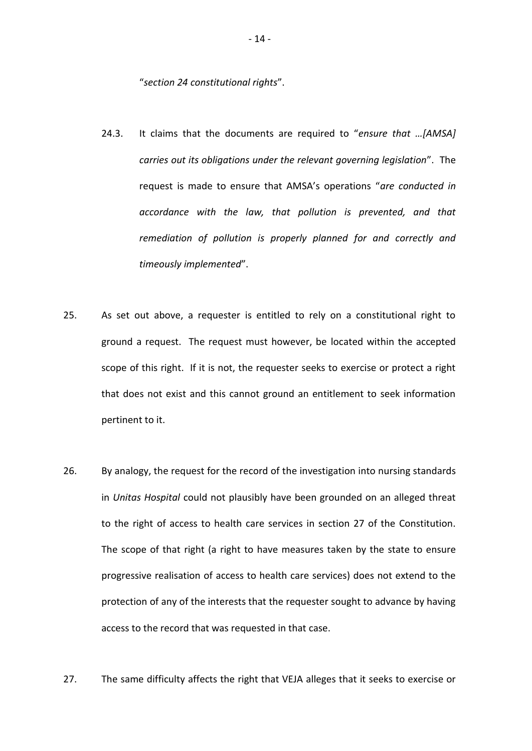"*section 24 constitutional rights*".

- 24.3. It claims that the documents are required to "*ensure that …[AMSA] carries out its obligations under the relevant governing legislation*". The request is made to ensure that AMSA's operations "*are conducted in accordance with the law, that pollution is prevented, and that remediation of pollution is properly planned for and correctly and timeously implemented*".
- 25. As set out above, a requester is entitled to rely on a constitutional right to ground a request. The request must however, be located within the accepted scope of this right. If it is not, the requester seeks to exercise or protect a right that does not exist and this cannot ground an entitlement to seek information pertinent to it.
- 26. By analogy, the request for the record of the investigation into nursing standards in *Unitas Hospital* could not plausibly have been grounded on an alleged threat to the right of access to health care services in section 27 of the Constitution. The scope of that right (a right to have measures taken by the state to ensure progressive realisation of access to health care services) does not extend to the protection of any of the interests that the requester sought to advance by having access to the record that was requested in that case.
- 27. The same difficulty affects the right that VEJA alleges that it seeks to exercise or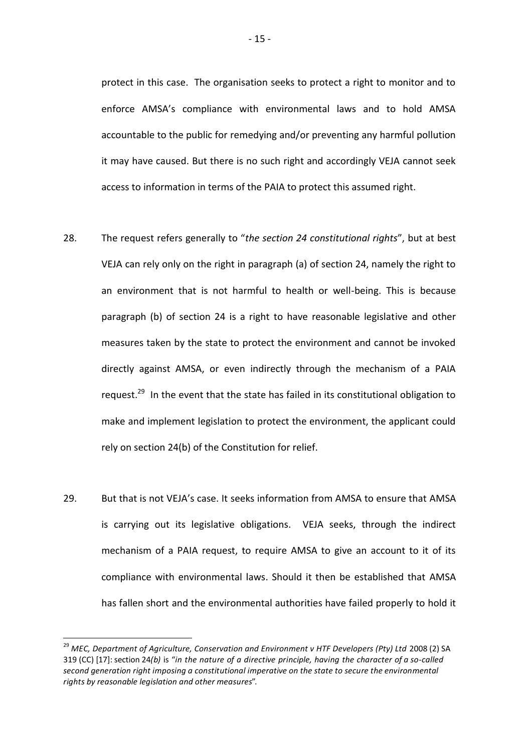protect in this case. The organisation seeks to protect a right to monitor and to enforce AMSA's compliance with environmental laws and to hold AMSA accountable to the public for remedying and/or preventing any harmful pollution it may have caused. But there is no such right and accordingly VEJA cannot seek access to information in terms of the PAIA to protect this assumed right.

- 28. The request refers generally to "*the section 24 constitutional rights*", but at best VEJA can rely only on the right in paragraph (a) of section 24, namely the right to an environment that is not harmful to health or well-being. This is because paragraph (b) of section 24 is a right to have reasonable legislative and other measures taken by the state to protect the environment and cannot be invoked directly against AMSA, or even indirectly through the mechanism of a PAIA request.<sup>29</sup> In the event that the state has failed in its constitutional obligation to make and implement legislation to protect the environment, the applicant could rely on section 24(b) of the Constitution for relief.
- 29. But that is not VEJA's case. It seeks information from AMSA to ensure that AMSA is carrying out its legislative obligations. VEJA seeks, through the indirect mechanism of a PAIA request, to require AMSA to give an account to it of its compliance with environmental laws. Should it then be established that AMSA has fallen short and the environmental authorities have failed properly to hold it

<sup>&</sup>lt;sup>29</sup> MEC, Department of Agriculture, Conservation and Environment v HTF Developers (Pty) Ltd 2008 (2) SA 319 (CC) [17]: section 24*(b)* is "*in the nature of a directive principle, having the character of a so-called second generation right imposing a constitutional imperative on the state to secure the environmental rights by reasonable legislation and other measures*".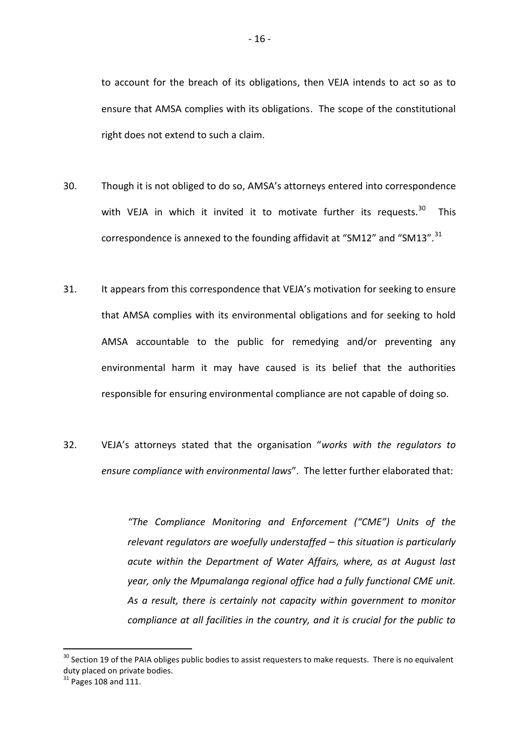to account for the breach of its obligations, then VEJA intends to act so as to ensure that AMSA complies with its obligations. The scope of the constitutional right does not extend to such a claim.

- 30. Though it is not obliged to do so, AMSA's attorneys entered into correspondence with VEJA in which it invited it to motivate further its requests.<sup>30</sup> This correspondence is annexed to the founding affidavit at "SM12" and "SM13". $^{31}$
- 31. It appears from this correspondence that VEJA's motivation for seeking to ensure that AMSA complies with its environmental obligations and for seeking to hold AMSA accountable to the public for remedying and/or preventing any environmental harm it may have caused is its belief that the authorities responsible for ensuring environmental compliance are not capable of doing so.
- 32. VEJA's attorneys stated that the organisation "*works with the regulators to ensure compliance with environmental laws*". The letter further elaborated that:

*"The Compliance Monitoring and Enforcement ("CME") Units of the relevant regulators are woefully understaffed – this situation is particularly acute within the Department of Water Affairs, where, as at August last year, only the Mpumalanga regional office had a fully functional CME unit. As a result, there is certainly not capacity within government to monitor compliance at all facilities in the country, and it is crucial for the public to* 

<sup>&</sup>lt;sup>30</sup> Section 19 of the PAIA obliges public bodies to assist requesters to make requests. There is no equivalent duty placed on private bodies.

 $31$  Pages 108 and 111.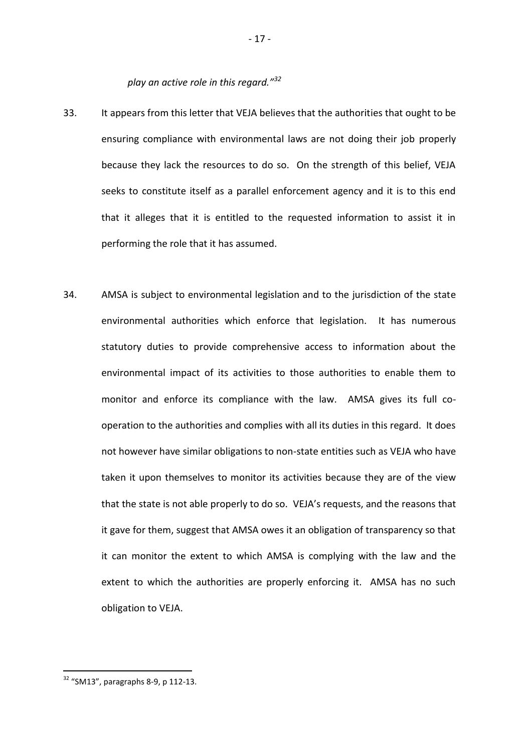*play an active role in this regard."<sup>32</sup>*

- 33. It appears from this letter that VEJA believes that the authorities that ought to be ensuring compliance with environmental laws are not doing their job properly because they lack the resources to do so. On the strength of this belief, VEJA seeks to constitute itself as a parallel enforcement agency and it is to this end that it alleges that it is entitled to the requested information to assist it in performing the role that it has assumed.
- 34. AMSA is subject to environmental legislation and to the jurisdiction of the state environmental authorities which enforce that legislation. It has numerous statutory duties to provide comprehensive access to information about the environmental impact of its activities to those authorities to enable them to monitor and enforce its compliance with the law. AMSA gives its full cooperation to the authorities and complies with all its duties in this regard. It does not however have similar obligations to non-state entities such as VEJA who have taken it upon themselves to monitor its activities because they are of the view that the state is not able properly to do so. VEJA's requests, and the reasons that it gave for them, suggest that AMSA owes it an obligation of transparency so that it can monitor the extent to which AMSA is complying with the law and the extent to which the authorities are properly enforcing it. AMSA has no such obligation to VEJA.

 $32$  "SM13", paragraphs 8-9, p 112-13.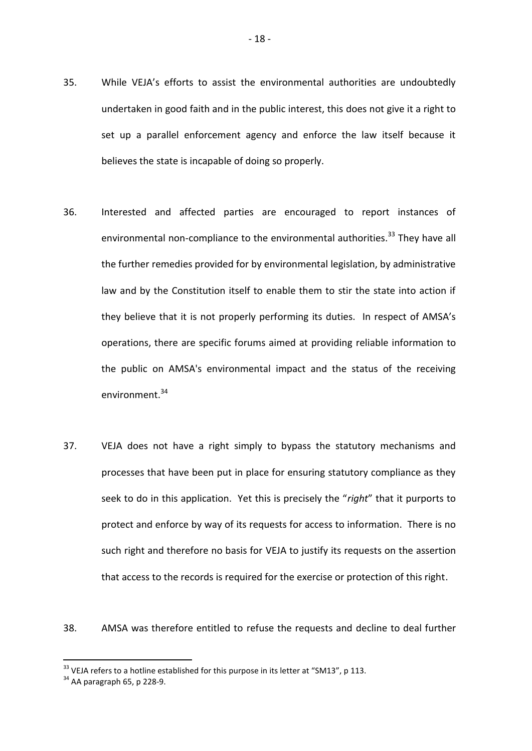- 35. While VEJA's efforts to assist the environmental authorities are undoubtedly undertaken in good faith and in the public interest, this does not give it a right to set up a parallel enforcement agency and enforce the law itself because it believes the state is incapable of doing so properly.
- 36. Interested and affected parties are encouraged to report instances of environmental non-compliance to the environmental authorities.<sup>33</sup> Thev have all the further remedies provided for by environmental legislation, by administrative law and by the Constitution itself to enable them to stir the state into action if they believe that it is not properly performing its duties. In respect of AMSA's operations, there are specific forums aimed at providing reliable information to the public on AMSA's environmental impact and the status of the receiving environment.<sup>34</sup>
- 37. VEJA does not have a right simply to bypass the statutory mechanisms and processes that have been put in place for ensuring statutory compliance as they seek to do in this application. Yet this is precisely the "*right*" that it purports to protect and enforce by way of its requests for access to information. There is no such right and therefore no basis for VEJA to justify its requests on the assertion that access to the records is required for the exercise or protection of this right.

38. AMSA was therefore entitled to refuse the requests and decline to deal further

 $33$  VEJA refers to a hotline established for this purpose in its letter at "SM13", p 113.

 $34$  AA paragraph 65, p 228-9.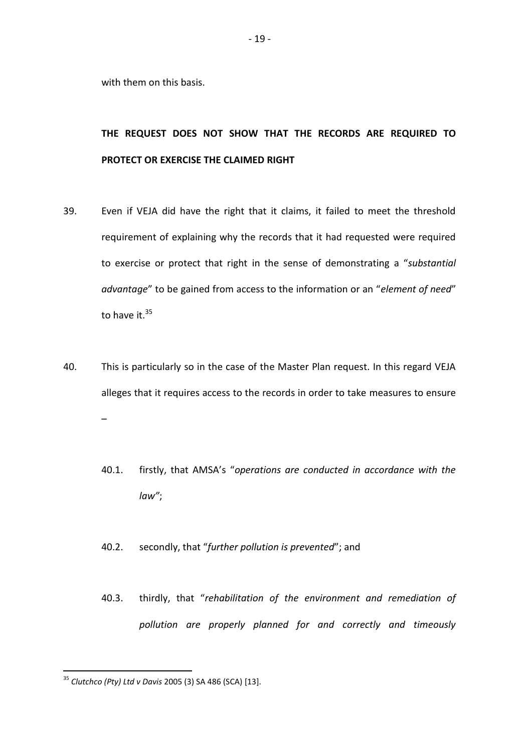with them on this basis.

## **THE REQUEST DOES NOT SHOW THAT THE RECORDS ARE REQUIRED TO PROTECT OR EXERCISE THE CLAIMED RIGHT**

- 39. Even if VEJA did have the right that it claims, it failed to meet the threshold requirement of explaining why the records that it had requested were required to exercise or protect that right in the sense of demonstrating a "*substantial advantage*" to be gained from access to the information or an "*element of need*" to have it. $^{35}$
- 40. This is particularly so in the case of the Master Plan request. In this regard VEJA alleges that it requires access to the records in order to take measures to ensure –
	- 40.1. firstly, that AMSA's "*operations are conducted in accordance with the law"*;
	- 40.2. secondly, that "*further pollution is prevented*"; and
	- 40.3. thirdly, that "*rehabilitation of the environment and remediation of pollution are properly planned for and correctly and timeously*

<sup>35</sup> *Clutchco (Pty) Ltd v Davis* 2005 (3) SA 486 (SCA) [13].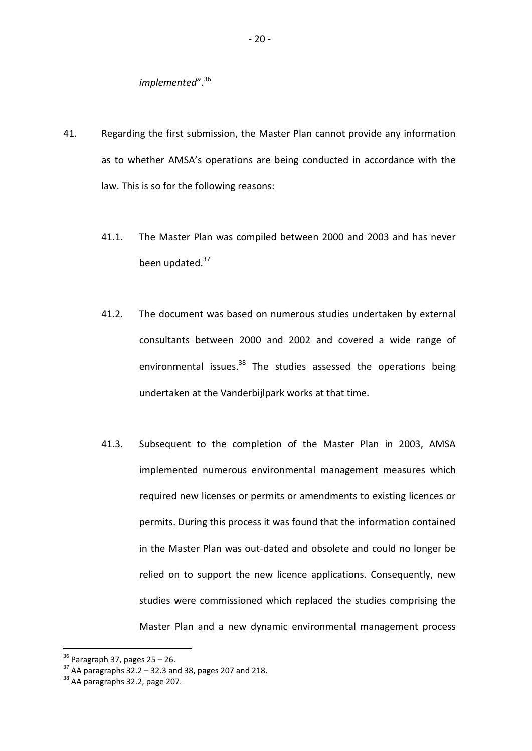## *implemented"*.<sup>36</sup>

- 41. Regarding the first submission, the Master Plan cannot provide any information as to whether AMSA's operations are being conducted in accordance with the law. This is so for the following reasons:
	- 41.1. The Master Plan was compiled between 2000 and 2003 and has never been updated.<sup>37</sup>
	- 41.2. The document was based on numerous studies undertaken by external consultants between 2000 and 2002 and covered a wide range of environmental issues. $38$  The studies assessed the operations being undertaken at the Vanderbijlpark works at that time.
	- 41.3. Subsequent to the completion of the Master Plan in 2003, AMSA implemented numerous environmental management measures which required new licenses or permits or amendments to existing licences or permits. During this process it was found that the information contained in the Master Plan was out-dated and obsolete and could no longer be relied on to support the new licence applications. Consequently, new studies were commissioned which replaced the studies comprising the Master Plan and a new dynamic environmental management process

 $36$  Paragraph 37, pages 25 – 26.

 $37$  AA paragraphs  $32.2 - 32.3$  and 38, pages 207 and 218.

<sup>38</sup> AA paragraphs 32.2, page 207.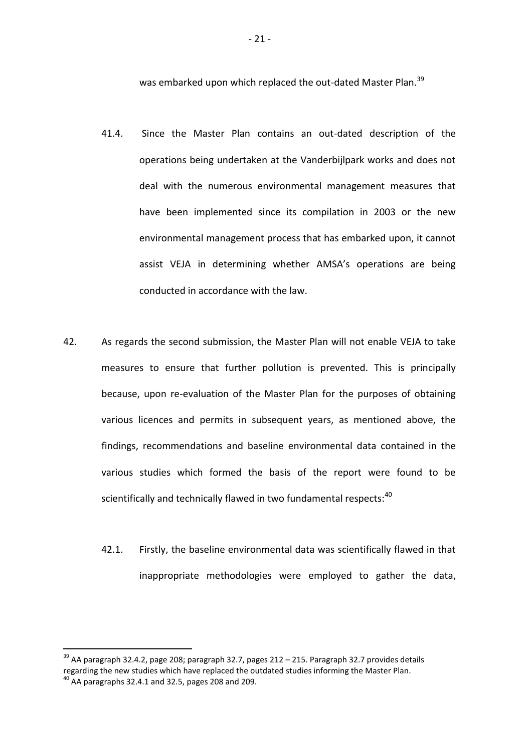was embarked upon which replaced the out-dated Master Plan.<sup>39</sup>

- 41.4. Since the Master Plan contains an out-dated description of the operations being undertaken at the Vanderbijlpark works and does not deal with the numerous environmental management measures that have been implemented since its compilation in 2003 or the new environmental management process that has embarked upon, it cannot assist VEJA in determining whether AMSA's operations are being conducted in accordance with the law.
- 42. As regards the second submission, the Master Plan will not enable VEJA to take measures to ensure that further pollution is prevented. This is principally because, upon re-evaluation of the Master Plan for the purposes of obtaining various licences and permits in subsequent years, as mentioned above, the findings, recommendations and baseline environmental data contained in the various studies which formed the basis of the report were found to be scientifically and technically flawed in two fundamental respects:<sup>40</sup>
	- 42.1. Firstly, the baseline environmental data was scientifically flawed in that inappropriate methodologies were employed to gather the data,

<sup>&</sup>lt;sup>39</sup> AA paragraph 32.4.2, page 208; paragraph 32.7, pages 212 – 215. Paragraph 32.7 provides details regarding the new studies which have replaced the outdated studies informing the Master Plan.  $40$  AA paragraphs 32.4.1 and 32.5, pages 208 and 209.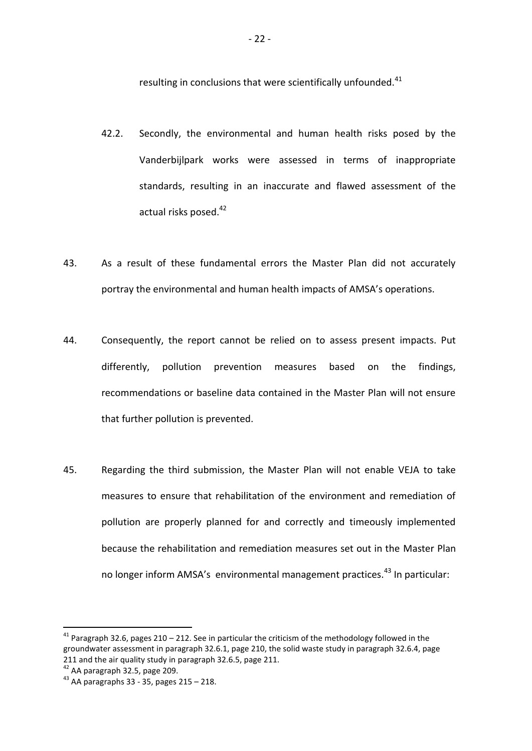resulting in conclusions that were scientifically unfounded.<sup>41</sup>

- 42.2. Secondly, the environmental and human health risks posed by the Vanderbijlpark works were assessed in terms of inappropriate standards, resulting in an inaccurate and flawed assessment of the actual risks posed.<sup>42</sup>
- 43. As a result of these fundamental errors the Master Plan did not accurately portray the environmental and human health impacts of AMSA's operations.
- 44. Consequently, the report cannot be relied on to assess present impacts. Put differently, pollution prevention measures based on the findings, recommendations or baseline data contained in the Master Plan will not ensure that further pollution is prevented.
- 45. Regarding the third submission, the Master Plan will not enable VEJA to take measures to ensure that rehabilitation of the environment and remediation of pollution are properly planned for and correctly and timeously implemented because the rehabilitation and remediation measures set out in the Master Plan no longer inform AMSA's environmental management practices.<sup>43</sup> In particular:

<sup>&</sup>lt;sup>41</sup> Paragraph 32.6, pages 210 – 212. See in particular the criticism of the methodology followed in the groundwater assessment in paragraph 32.6.1, page 210, the solid waste study in paragraph 32.6.4, page 211 and the air quality study in paragraph 32.6.5, page 211.

 $42$  AA paragraph 32.5, page 209.

 $43$  AA paragraphs 33 - 35, pages 215 - 218.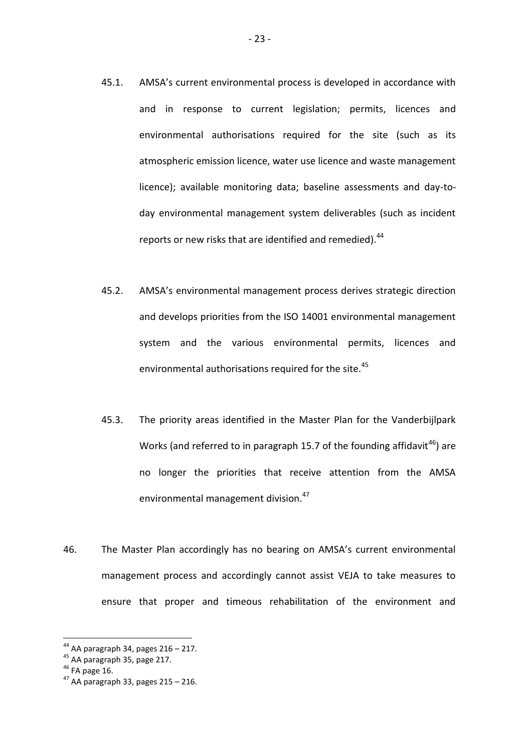- 45.1. AMSA's current environmental process is developed in accordance with and in response to current legislation; permits, licences and environmental authorisations required for the site (such as its atmospheric emission licence, water use licence and waste management licence); available monitoring data; baseline assessments and day-today environmental management system deliverables (such as incident reports or new risks that are identified and remedied).<sup>44</sup>
- 45.2. AMSA's environmental management process derives strategic direction and develops priorities from the ISO 14001 environmental management system and the various environmental permits, licences and environmental authorisations required for the site.<sup>45</sup>
- 45.3. The priority areas identified in the Master Plan for the Vanderbijlpark Works (and referred to in paragraph 15.7 of the founding affidavit<sup>46</sup>) are no longer the priorities that receive attention from the AMSA environmental management division.<sup>47</sup>
- 46. The Master Plan accordingly has no bearing on AMSA's current environmental management process and accordingly cannot assist VEJA to take measures to ensure that proper and timeous rehabilitation of the environment and

 $44$  AA paragraph 34, pages 216 – 217.

<sup>45</sup> AA paragraph 35, page 217.

 $46$  FA page 16.

 $47$  AA paragraph 33, pages 215 – 216.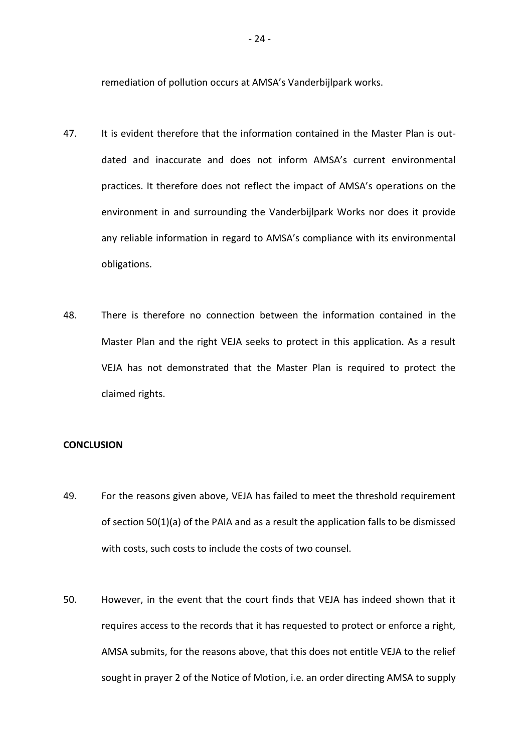remediation of pollution occurs at AMSA's Vanderbijlpark works.

- 47. It is evident therefore that the information contained in the Master Plan is outdated and inaccurate and does not inform AMSA's current environmental practices. It therefore does not reflect the impact of AMSA's operations on the environment in and surrounding the Vanderbijlpark Works nor does it provide any reliable information in regard to AMSA's compliance with its environmental obligations.
- 48. There is therefore no connection between the information contained in the Master Plan and the right VEJA seeks to protect in this application. As a result VEJA has not demonstrated that the Master Plan is required to protect the claimed rights.

#### **CONCLUSION**

- 49. For the reasons given above, VEJA has failed to meet the threshold requirement of section 50(1)(a) of the PAIA and as a result the application falls to be dismissed with costs, such costs to include the costs of two counsel.
- 50. However, in the event that the court finds that VEJA has indeed shown that it requires access to the records that it has requested to protect or enforce a right, AMSA submits, for the reasons above, that this does not entitle VEJA to the relief sought in prayer 2 of the Notice of Motion, i.e. an order directing AMSA to supply